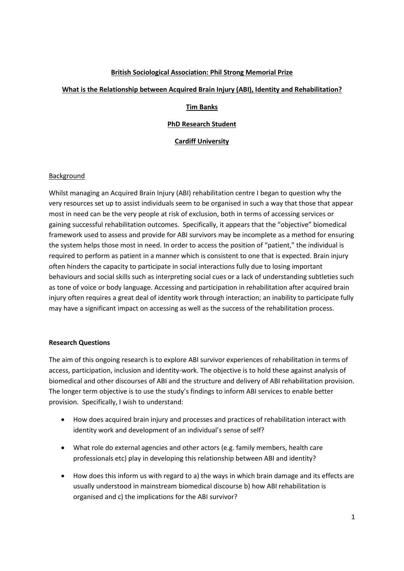## **British Sociological Association: Phil Strong Memorial Prize**

## **What is the Relationship between Acquired Brain Injury (ABI), Identity and Rehabilitation?**

## **Tim Banks**

## **PhD Research Student**

## **Cardiff University**

### Background

Whilst managing an Acquired Brain Injury (ABI) rehabilitation centre I began to question why the very resources set up to assist individuals seem to be organised in such a way that those that appear most in need can be the very people at risk of exclusion, both in terms of accessing services or gaining successful rehabilitation outcomes. Specifically, it appears that the "objective" biomedical framework used to assess and provide for ABI survivors may be incomplete as a method for ensuring the system helps those most in need. In order to access the position of "patient," the individual is required to perform as patient in a manner which is consistent to one that is expected. Brain injury often hinders the capacity to participate in social interactions fully due to losing important behaviours and social skills such as interpreting social cues or a lack of understanding subtleties such as tone of voice or body language. Accessing and participation in rehabilitation after acquired brain injury often requires a great deal of identity work through interaction; an inability to participate fully may have a significant impact on accessing as well as the success of the rehabilitation process.

# **Research Questions**

The aim of this ongoing research is to explore ABI survivor experiences of rehabilitation in terms of access, participation, inclusion and identity-work. The objective is to hold these against analysis of biomedical and other discourses of ABI and the structure and delivery of ABI rehabilitation provision. The longer term objective is to use the study's findings to inform ABI services to enable better provision. Specifically, I wish to understand:

- How does acquired brain injury and processes and practices of rehabilitation interact with identity work and development of an individual's sense of self?
- What role do external agencies and other actors (e.g. family members, health care professionals etc) play in developing this relationship between ABI and identity?
- How does this inform us with regard to a) the ways in which brain damage and its effects are usually understood in mainstream biomedical discourse b) how ABI rehabilitation is organised and c) the implications for the ABI survivor?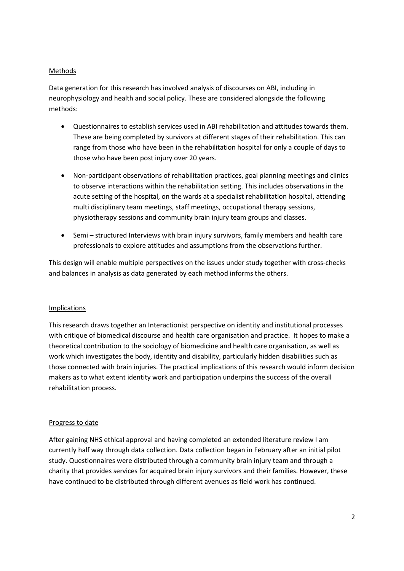## Methods

Data generation for this research has involved analysis of discourses on ABI, including in neurophysiology and health and social policy. These are considered alongside the following methods:

- Questionnaires to establish services used in ABI rehabilitation and attitudes towards them. These are being completed by survivors at different stages of their rehabilitation. This can range from those who have been in the rehabilitation hospital for only a couple of days to those who have been post injury over 20 years.
- Non-participant observations of rehabilitation practices, goal planning meetings and clinics to observe interactions within the rehabilitation setting. This includes observations in the acute setting of the hospital, on the wards at a specialist rehabilitation hospital, attending multi disciplinary team meetings, staff meetings, occupational therapy sessions, physiotherapy sessions and community brain injury team groups and classes.
- Semi structured Interviews with brain injury survivors, family members and health care professionals to explore attitudes and assumptions from the observations further.

This design will enable multiple perspectives on the issues under study together with cross-checks and balances in analysis as data generated by each method informs the others.

### Implications

This research draws together an Interactionist perspective on identity and institutional processes with critique of biomedical discourse and health care organisation and practice. It hopes to make a theoretical contribution to the sociology of biomedicine and health care organisation, as well as work which investigates the body, identity and disability, particularly hidden disabilities such as those connected with brain injuries. The practical implications of this research would inform decision makers as to what extent identity work and participation underpins the success of the overall rehabilitation process.

### Progress to date

After gaining NHS ethical approval and having completed an extended literature review I am currently half way through data collection. Data collection began in February after an initial pilot study. Questionnaires were distributed through a community brain injury team and through a charity that provides services for acquired brain injury survivors and their families. However, these have continued to be distributed through different avenues as field work has continued.